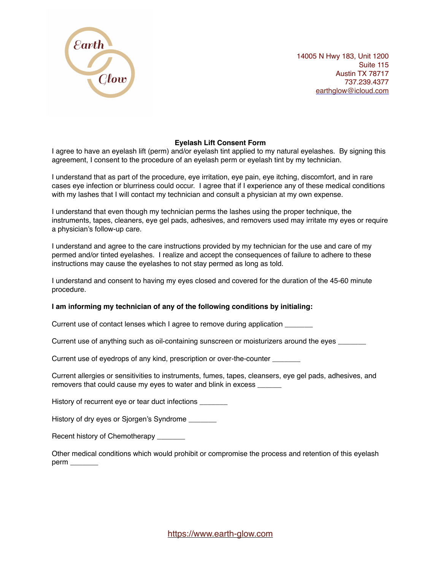

14005 N Hwy 183, Unit 1200 Suite 115 Austin TX 78717 737.239.4377 [earthglow@icloud.com](mailto:earthglow@icloud.com)

## **Eyelash Lift Consent Form**

I agree to have an eyelash lift (perm) and/or eyelash tint applied to my natural eyelashes. By signing this agreement, I consent to the procedure of an eyelash perm or eyelash tint by my technician.

I understand that as part of the procedure, eye irritation, eye pain, eye itching, discomfort, and in rare cases eye infection or blurriness could occur. I agree that if I experience any of these medical conditions with my lashes that I will contact my technician and consult a physician at my own expense.

I understand that even though my technician perms the lashes using the proper technique, the instruments, tapes, cleaners, eye gel pads, adhesives, and removers used may irritate my eyes or require a physician's follow-up care.

I understand and agree to the care instructions provided by my technician for the use and care of my permed and/or tinted eyelashes. I realize and accept the consequences of failure to adhere to these instructions may cause the eyelashes to not stay permed as long as told.

I understand and consent to having my eyes closed and covered for the duration of the 45-60 minute procedure.

## **I am informing my technician of any of the following conditions by initialing:**

Current use of contact lenses which I agree to remove during application \_\_\_\_\_\_

Current use of anything such as oil-containing sunscreen or moisturizers around the eyes

Current use of eyedrops of any kind, prescription or over-the-counter \_\_\_\_\_\_\_

Current allergies or sensitivities to instruments, fumes, tapes, cleansers, eye gel pads, adhesives, and removers that could cause my eyes to water and blink in excess

History of recurrent eye or tear duct infections \_\_\_\_\_\_\_

History of dry eyes or Sjorgen's Syndrome \_\_\_\_\_\_

Recent history of Chemotherapy

Other medical conditions which would prohibit or compromise the process and retention of this eyelash perm \_\_\_\_